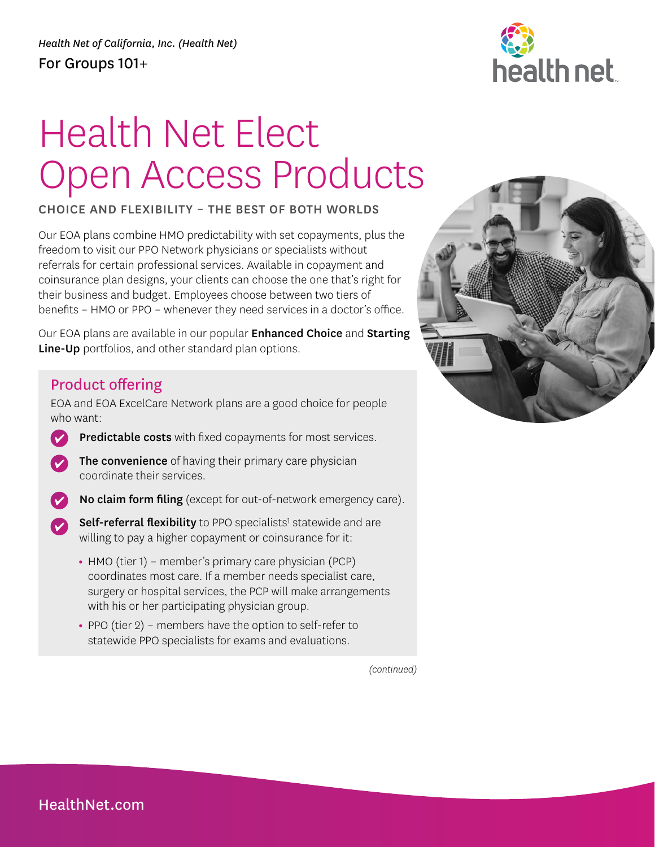## health net

## Health Net Elect Open Access Products

CHOICE AND FLEXIBILITY – THE BEST OF BOTH WORLDS

Our EOA plans combine HMO predictability with set copayments, plus the freedom to visit our PPO Network physicians or specialists without referrals for certain professional services. Available in copayment and coinsurance plan designs, your clients can choose the one that's right for their business and budget. Employees choose between two tiers of benefits – HMO or PPO – whenever they need services in a doctor's office.

Our EOA plans are available in our popular Enhanced Choice and Starting Line-Up portfolios, and other standard plan options.

## Product offering

EOA and EOA ExcelCare Network plans are a good choice for people who want:

- Predictable costs with fixed copayments for most services.
- The convenience of having their primary care physician coordinate their services.
- No claim form filing (except for out-of-network emergency care).
- Self-referral flexibility to PPO specialists<sup>1</sup> statewide and are  $\bullet$ willing to pay a higher copayment or coinsurance for it:
	- **•** HMO (tier 1) member's primary care physician (PCP) coordinates most care. If a member needs specialist care, surgery or hospital services, the PCP will make arrangements with his or her participating physician group.
	- **•** PPO (tier 2) members have the option to self-refer to statewide PPO specialists for exams and evaluations.



*(continued)*